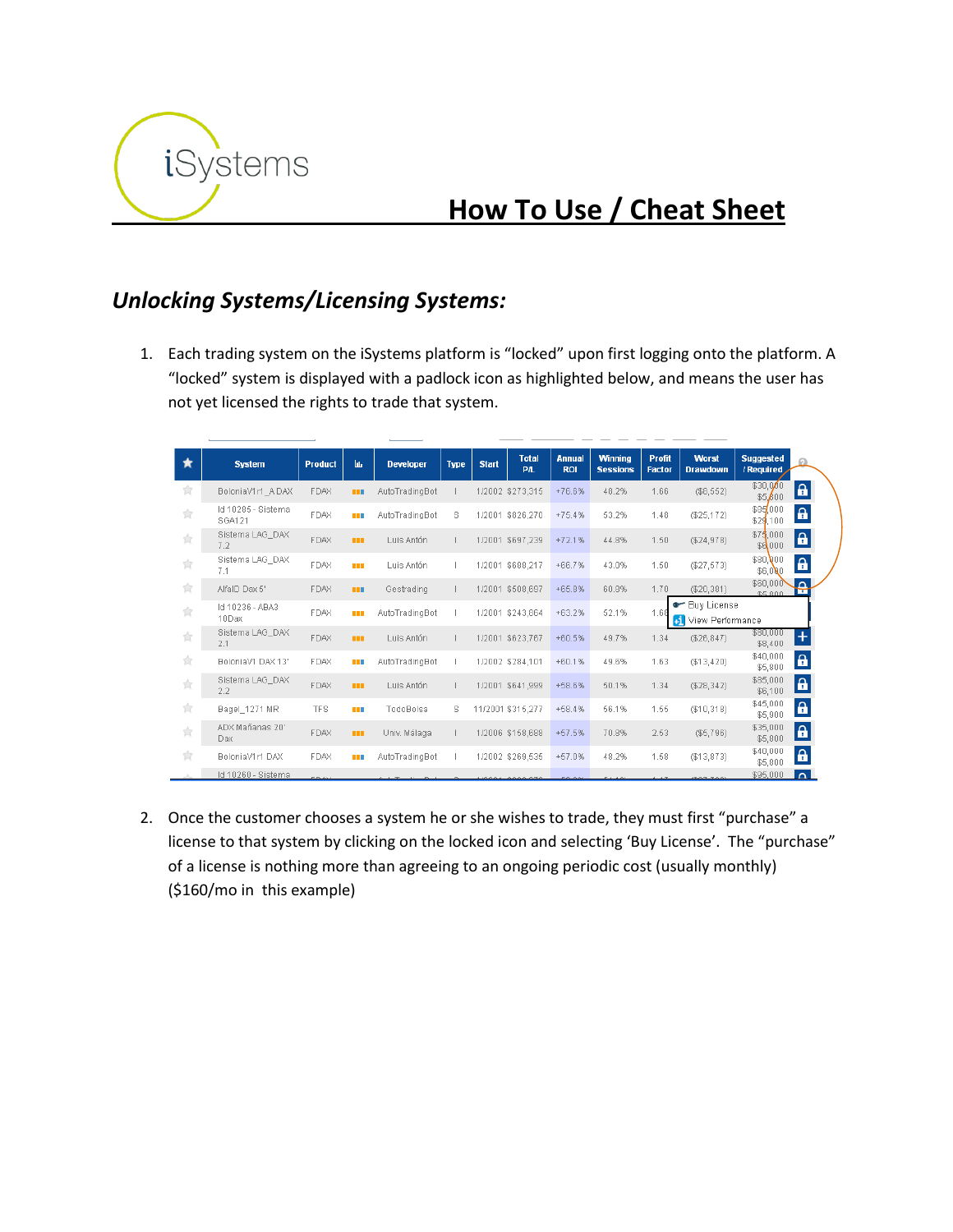

# **How To Use / Cheat Sheet**

#### *Unlocking Systems/Licensing Systems:*

1. Each trading system on the iSystems platform is "locked" upon first logging onto the platform. A "locked" system is displayed with a padlock icon as highlighted below, and means the user has not yet licensed the rights to trade that system.

| ★                                      | <b>System</b>                | <b>Product</b> | hь.        | <b>Developer</b> | <b>Type</b> | <b>Start</b> | <b>Total</b><br><b>PIL</b> | <b>Annual</b><br><b>ROI</b> | <b>Winning</b><br><b>Sessions</b> | <b>Profit</b><br><b>Factor</b> | <b>Worst</b><br><b>Drawdown</b>          | <b>Suggested</b><br>/ Required |                   |  |
|----------------------------------------|------------------------------|----------------|------------|------------------|-------------|--------------|----------------------------|-----------------------------|-----------------------------------|--------------------------------|------------------------------------------|--------------------------------|-------------------|--|
| 貪                                      | BoloniaV1r1 ADAX             | <b>FDAX</b>    | <b>THE</b> | AutoTradingBot   |             |              | 1/2002 \$273,315           | $+76.6%$                    | 48.2%                             | 1.66                           | (\$8,552)                                | \$30,000<br>\$5,600            | $\mathbf{a}$      |  |
| 含                                      | Id 10285 - Sistema<br>SGA121 | FDAX           | n na       | AutoTradingBot   | s           |              | 1/2001 \$826.270           | $+75.4%$                    | 53.2%                             | 1.48                           | (\$25,172)                               | \$85,000<br>\$29,100           | $\pmb{\mathsf a}$ |  |
| 含                                      | Sistema LAG DAX<br>7.2       | <b>FDAX</b>    | <b>BEE</b> | Luis Antón       | н           |              | 1/2001 \$697,239           | $+72.1%$                    | 44.8%                             | 1.50                           | (\$24,978)                               | \$75,000<br>\$6,000            | $\mathbf{a}$      |  |
| 含                                      | Sistema LAG DAX<br>7.1       | FDAX           | n m        | Luis Antón       |             |              | 1/2001 \$688.217           | $+66.7%$                    | 43.0%                             | 1.50                           | (\$27,573)                               | \$80,000<br>\$6,000            | $\mathbf{a}$      |  |
| $\frac{1}{\ A\ }$                      | AlfaID Dax 5'                | <b>FDAX</b>    | <b>THE</b> | Gestrading       |             |              | 1/2001 \$508.697           | $+65.8%$                    | 60.8%                             | 1.70                           | (\$20,381)                               | \$60,000<br><b>06.900</b>      | $\Delta$<br>⊶     |  |
| ☆                                      | Id 10236 - ABA3<br>10Dax     | FDAX           | n m        | AutoTradingBot   |             |              | 1/2001 \$243,864           | $+63.2%$                    | 52.1%                             | 1.68                           | <b>•</b> Buy License<br>View Performance |                                |                   |  |
| $\frac{1}{\left  \mathcal{M} \right }$ | Sistema LAG DAX<br>2.1       | FDAX           | <b>THE</b> | Luis Antón       |             |              | 1/2001 \$623,767           | $+60.5%$                    | 49.7%                             | 1.34                           | (\$26, 847)                              | \$80,000<br>\$8,400            | ÷                 |  |
| 含                                      | BoloniaV1 DAX 13"            | FDAX           | n n        | AutoTradingBot   | п           |              | 1/2002 \$284,101           | $+60.1%$                    | 49.6%                             | 1.63                           | (\$13,420)                               | \$40,000<br>\$5,800            | $\mathbf{a}$      |  |
| 含                                      | Sistema LAG_DAX<br>2.2       | <b>FDAX</b>    | <b>THE</b> | Luis Antón       |             |              | 1/2001 \$641.999           | $+58.6%$                    | 50.1%                             | 1.34                           | (\$28,342)                               | \$85,000<br>\$6,100            | $\mathbf{a}$      |  |
| $\frac{1}{\left  \mathcal{M} \right }$ | Bagel 1271 MR                | <b>TFS</b>     | a ma       | TodoBolsa        | s           |              | 11/2001 \$315,277          | $+58.4%$                    | 56.1%                             | 1.55                           | (\$10,318)                               | \$45,000<br>\$5,900            | $\mathbf{a}$      |  |
| ☆                                      | ADX Mañanas 20'<br>Dax       | <b>FDAX</b>    | <b>THE</b> | Univ. Málada     |             |              | 1/2006 \$158.688           | $+57.5%$                    | 70.8%                             | 2.53                           | (\$5,796)                                | \$35,000<br>\$5,800            | $\mathbf{a}$      |  |
| 含                                      | BoloniaV1r1 DAX              | <b>FDAX</b>    | n n        | AutoTradingBot   | H.          |              | 1/2002 \$269.535           | $+57.0%$                    | 48.2%                             | 1.58                           | (\$13,873)                               | \$40,000<br>\$5,800            | $\mathbf{a}$      |  |
|                                        | Id 10260 - Sistema           |                |            |                  |             |              |                            |                             |                                   |                                |                                          | \$95,000                       | ΔI                |  |

2. Once the customer chooses a system he or she wishes to trade, they must first "purchase" a license to that system by clicking on the locked icon and selecting 'Buy License'. The "purchase" of a license is nothing more than agreeing to an ongoing periodic cost (usually monthly) (\$160/mo in this example)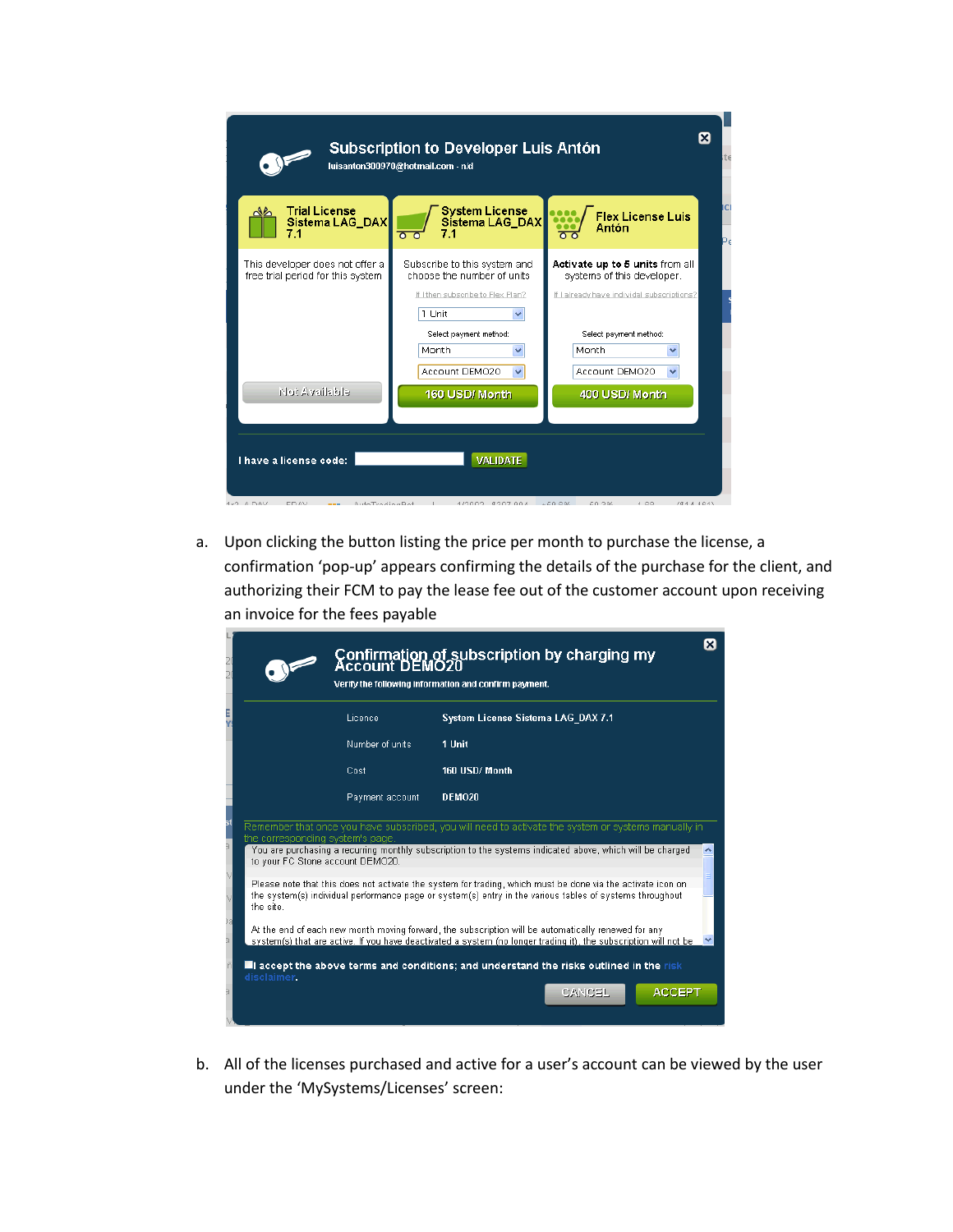| Ιx<br><b>Subscription to Developer Luis Antón</b><br>luisanton300970@hotmail.com - n/d |                                                                                                                                                                     |                                                                                                                                                                  |           |  |  |  |  |  |  |  |  |
|----------------------------------------------------------------------------------------|---------------------------------------------------------------------------------------------------------------------------------------------------------------------|------------------------------------------------------------------------------------------------------------------------------------------------------------------|-----------|--|--|--|--|--|--|--|--|
| <b>Trial License</b><br>Sistema LAG_DAX                                                | <b>System License</b><br>Sistema LAG_DAX<br>$\overline{\circ}$<br>70                                                                                                | <b>Flex License Luis</b><br>Antón<br>$\overline{\mathbf{o}}$                                                                                                     | ici<br>P٤ |  |  |  |  |  |  |  |  |
| This developer does not offer a<br>free trial period for this system                   | Subscribe to this system and<br>choose the number of units<br>If I then subscribe to Flex Plan?<br>1 Unit<br>Select payment method:<br>Month<br>Account DEMO20<br>v | Activate up to 5 units from all<br>systems of this developer.<br>If I already have individal subscriptions?<br>Select payment method:<br>Month<br>Account DEMO20 |           |  |  |  |  |  |  |  |  |
| eldistiasvA fold<br>I have a license code:                                             | 160 USD/ Month<br><b>VALIDATE</b>                                                                                                                                   | 400 USD/ Month                                                                                                                                                   |           |  |  |  |  |  |  |  |  |
| <b>IPD A DAV</b><br><b>EDAV</b><br>AutoTradingDot<br><b>STATISTICS</b>                 | 1/2002 0207.004 450.604 50.204                                                                                                                                      | 4.60<br>(0.14, 0.01)                                                                                                                                             |           |  |  |  |  |  |  |  |  |

a. Upon clicking the button listing the price per month to purchase the license, a confirmation 'pop-up' appears confirming the details of the purchase for the client, and authorizing their FCM to pay the lease fee out of the customer account upon receiving an invoice for the fees payable

| Confirmation of subscription by charging my<br>Account DEMO20<br>Verify the following information and confirm payment.                                                                                                               |  |
|--------------------------------------------------------------------------------------------------------------------------------------------------------------------------------------------------------------------------------------|--|
| Licence<br>System License Sistema LAG DAX 7.1                                                                                                                                                                                        |  |
| Number of units<br>1 Unit                                                                                                                                                                                                            |  |
| 160 USD/Month<br>Cost                                                                                                                                                                                                                |  |
| DEMO20<br>Payment account                                                                                                                                                                                                            |  |
| Remember that once you have subscribed, you will need to activate the system or systems manually in<br>the corresponding system's page.                                                                                              |  |
| You are purchasing a recurring monthly subscription to the systems indicated above, which will be charged<br>to your FC Stone account DEMO20.                                                                                        |  |
| Please note that this does not activate the system for trading, which must be done via the activate icon on<br>the system(s) individual performance page or system(s) entry in the various tables of systems throughout<br>the site. |  |
| At the end of each new month moving forward, the subscription will be automatically renewed for any<br>system(s) that are active. If you have deactivated a system (no longer trading it), the subscription will not be              |  |
| $\blacksquare$ accept the above terms and conditions; and understand the risks outlined in the risk<br>disclaimer.                                                                                                                   |  |
| <b>ACCEPT</b><br>CANCEL                                                                                                                                                                                                              |  |

b. All of the licenses purchased and active for a user's account can be viewed by the user under the 'MySystems/Licenses' screen: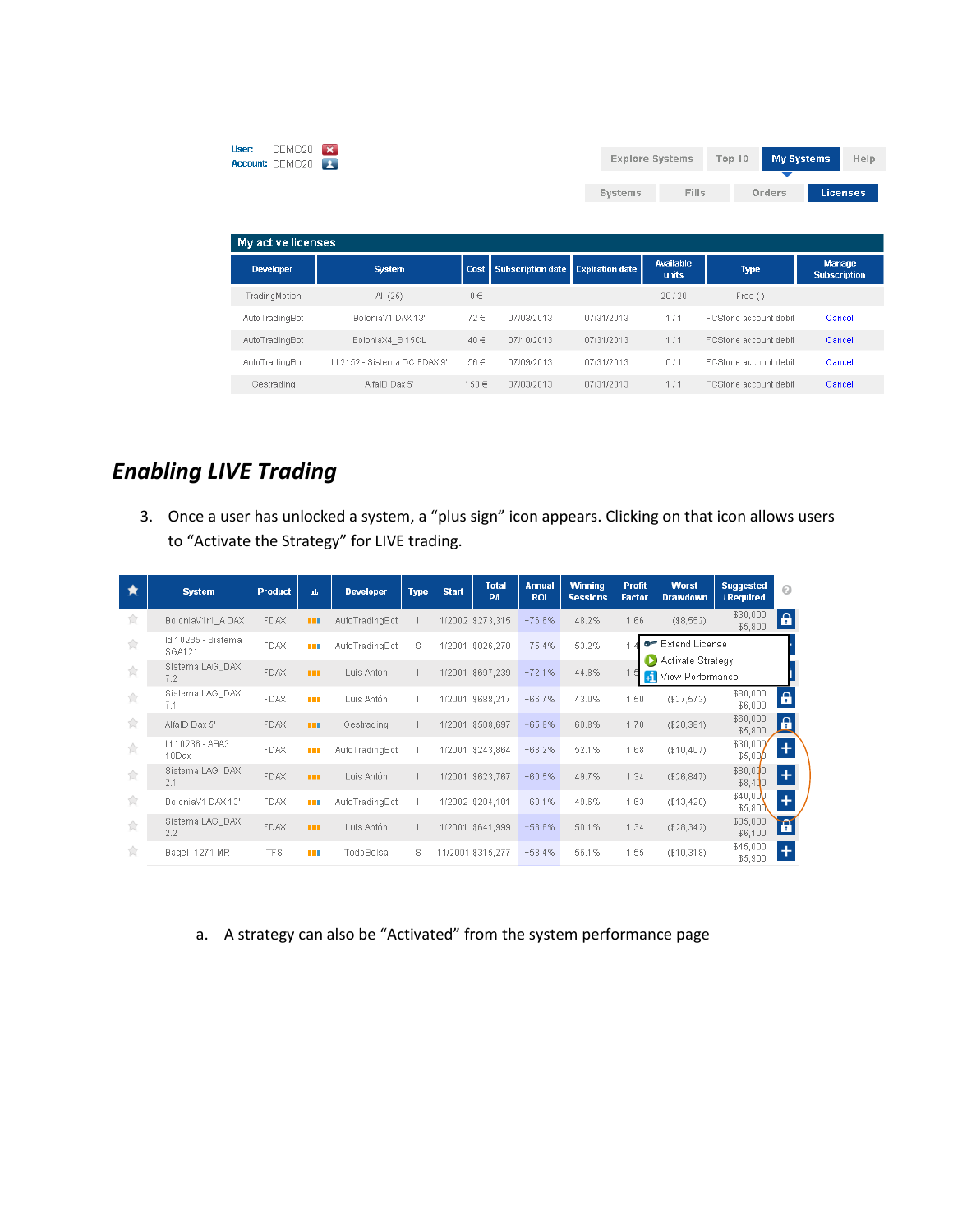| DEMO20<br>User:<br>Account: DEMO20     | $\overline{\mathbf{x}}$<br>$\mathbf{L}$ |          |                          |                        | <b>Explore Systems</b>    | Top 10                | <b>My Systems</b><br>Help            |
|----------------------------------------|-----------------------------------------|----------|--------------------------|------------------------|---------------------------|-----------------------|--------------------------------------|
|                                        |                                         |          |                          | Systems                | <b>Fills</b>              | Orders                | <b>Licenses</b>                      |
| My active licenses<br><b>Developer</b> | <b>System</b>                           | Cost     | <b>Subscription date</b> | <b>Expiration date</b> | Available<br><b>units</b> | <b>Type</b>           | <b>Manage</b><br><b>Subscription</b> |
| TradingMotion                          | All (25)                                | $0 \in$  | $\sim$                   |                        | 20/20                     | Free $(-)$            |                                      |
| AutoTradingBot                         | BoloniaV1 DAX 13'                       | $72 \in$ | 07/03/2013               | 07/31/2013             | 1/1                       | FCStone account debit | Cancel                               |
| AutoTradingBot                         | BoloniaX4 B 15CL                        | $40 \in$ | 07/10/2013               | 07/31/2013             | 1/1                       | FCStone account debit | Cancel                               |
| AutoTradingBot                         | Id 2152 - Sistema DC FDAX 9'            | 56€      | 07/09/2013               | 07/31/2013             | 0/1                       | FCStone account debit | Cancel                               |
| Gestrading                             | AlfaID Dax 5'                           | 153€     | 07/03/2013               | 07/31/2013             | 1/1                       | FCStone account debit | Cancel                               |

## *Enabling LIVE Trading*

3. Once a user has unlocked a system, a "plus sign" icon appears. Clicking on that icon allows users to "Activate the Strategy" for LIVE trading.

| ★ | <b>System</b>                | <b>Product</b> | Ш          | <b>Developer</b> | <b>Type</b> | <b>Start</b> | <b>Total</b><br>PIL | <b>Annual</b><br><b>ROI</b> | <b>Winning</b><br><b>Sessions</b> | <b>Profit</b><br><b>Factor</b> | <b>Worst</b><br><b>Drawdown</b>                 | <b>Suggested</b><br>/ Required | $\odot$                  |
|---|------------------------------|----------------|------------|------------------|-------------|--------------|---------------------|-----------------------------|-----------------------------------|--------------------------------|-------------------------------------------------|--------------------------------|--------------------------|
| 食 | BoloniaV1r1 ADAX             | <b>FDAX</b>    | <b>THE</b> | AutoTradingBot   |             |              | 1/2002 \$273,315    | $+76.6%$                    | 48.2%                             | 1.66                           | (\$8,552)                                       | \$30,000<br>\$5,800            | $\mathbf{a}$             |
| ☆ | Id 10285 - Sistema<br>SGA121 | <b>FDAX</b>    | <b>.</b>   | AutoTradingBot   | s           | 1/2001       | \$826,270           | $+75.4%$                    | 53.2%                             |                                | <b>The Extend License</b>                       |                                |                          |
| 食 | Sistema LAG DAX<br>7.2       | <b>FDAX</b>    | <b>THE</b> | Luis Antón       |             |              | 1/2001 \$697,239    | $+72.1%$                    | 44.8%                             |                                | Activate Strategy<br><b>51</b> View Performance |                                |                          |
| 含 | Sistema LAG_DAX<br>7.1       | <b>FDAX</b>    | n m        | Luis Antón       |             | 1/2001       | \$688.217           | $+66.7%$                    | 43.0%                             | 1.50                           | (\$27,573)                                      | \$80,000<br>\$6,000            | $\mathbf{a}$             |
| 食 | AlfaID Dax 5'                | <b>FDAX</b>    | <b>THE</b> | Gestrading       |             |              | 1/2001 \$508,697    | +65.8%                      | 60.8%                             | 1.70                           | (\$20,381)                                      | \$60,000<br>\$5,800            | $\Omega$<br>n.           |
| 食 | Id 10236 - ABA3<br>10Dax     | <b>FDAX</b>    | a sa       | AutoTradingBot   |             | 1/2001       | \$243,864           | $+63.2%$                    | 52.1%                             | 1.68                           | (\$10,407)                                      | \$30,000<br>$$5,80$ <i>p</i>   | Ŧ                        |
| 食 | Sistema LAG DAX<br>2.1       | <b>FDAX</b>    | <b>THE</b> | Luis Antón       |             | 1/2001       | \$623,767           | $+60.5%$                    | 49.7%                             | 1.34                           | (\$26, 847)                                     | \$80,000<br>\$8,400            | $\overline{+}$           |
| 食 | BoloniaV1 DAX 13'            | <b>FDAX</b>    | a ma       | AutoTradingBot   |             |              | 1/2002 \$284.101    | $+60.1%$                    | 49.6%                             | 1.63                           | (\$13,420)                                      | \$40,00<br>\$5,800             | ÷                        |
| 含 | Sistema LAG_DAX<br>2.2       | <b>FDAX</b>    | <b>THE</b> | Luis Antón       |             |              | 1/2001 \$641.999    | $+58.6%$                    | 50.1%                             | 1.34                           | (\$28,342)                                      | \$85,000<br>\$6,100            | $\widetilde{\mathbf{H}}$ |
| Ŵ | Bagel_1271 MR                | <b>TFS</b>     | <b>THE</b> | TodoBolsa        | s           |              | 11/2001 \$315.277   | $+58.4%$                    | 56.1%                             | 1.55                           | (\$10,318)                                      | \$45,000<br>\$5,900            | $\ddot{}$                |

a. A strategy can also be "Activated" from the system performance page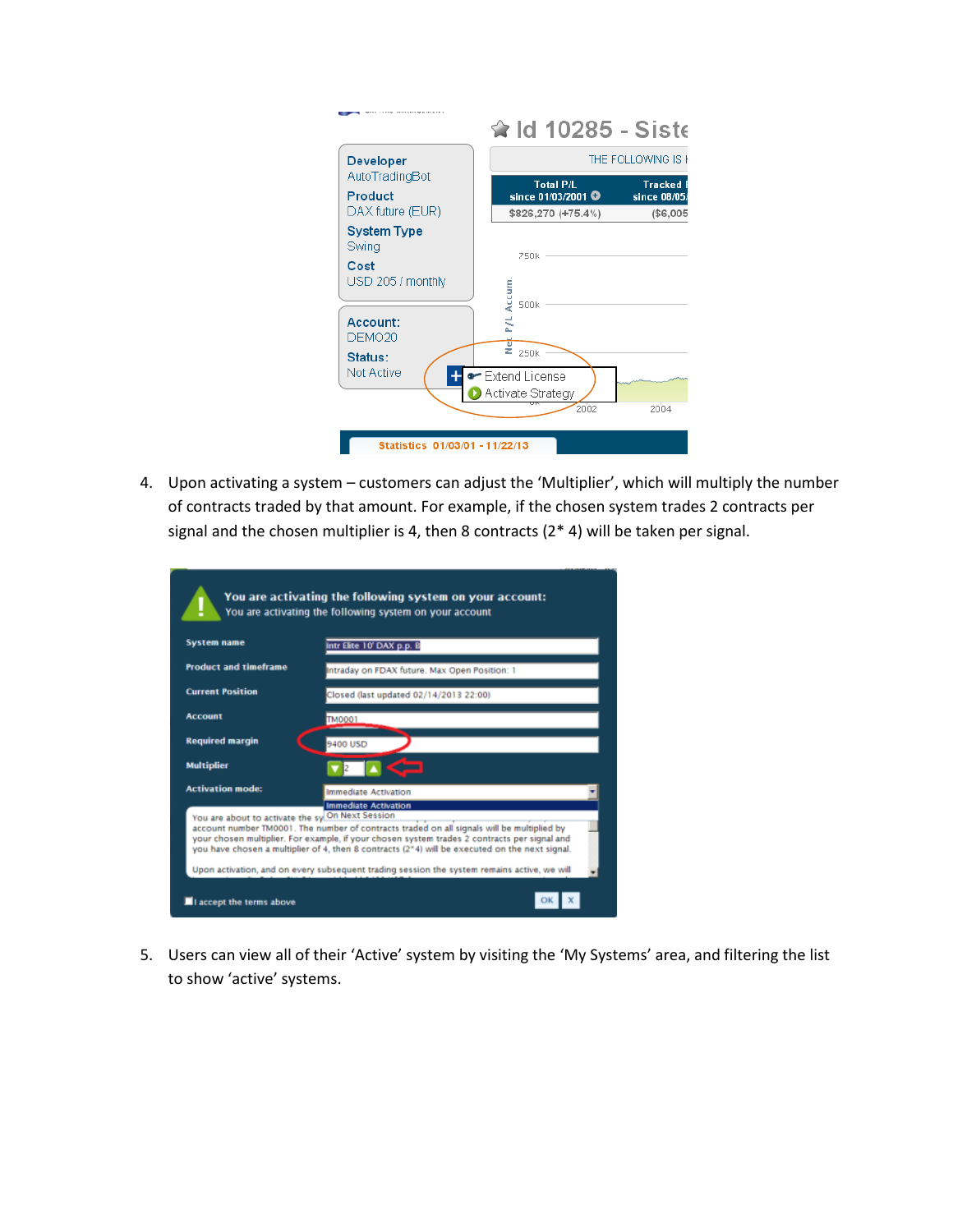|                                                          | ਵੰ ld 10285 - Sist∈                               |                                  |
|----------------------------------------------------------|---------------------------------------------------|----------------------------------|
| <b>Developer</b>                                         |                                                   | THE FOLLOWING IS <b>F</b>        |
| AutoTradingBot<br>Product                                | <b>Total P/L</b><br>since 01/03/2001 <sup>O</sup> | <b>Tracked F</b><br>since 08/05/ |
| DAX future (EUR)                                         | \$826,270 (+75.4%)                                | (\$6,005                         |
| <b>System Type</b><br>Swing<br>Cost<br>USD 205 / monthly | 750k<br>Accum<br>500k                             |                                  |
| Account:<br>DEMO <sub>20</sub>                           | ã<br>ż                                            |                                  |
| Status:<br>Not Active                                    | 250k<br>• Extend License<br>Activate Strategy     |                                  |
|                                                          | 2002                                              | 2004                             |

4. Upon activating a system – customers can adjust the 'Multiplier', which will multiply the number of contracts traded by that amount. For example, if the chosen system trades 2 contracts per signal and the chosen multiplier is 4, then 8 contracts (2\* 4) will be taken per signal.

| <b>System name</b>                               | You are activating the following system on your account<br>Intr Elite 10' DAX p.p. B                                                                                                                                                                                                                                                                                                                                       |
|--------------------------------------------------|----------------------------------------------------------------------------------------------------------------------------------------------------------------------------------------------------------------------------------------------------------------------------------------------------------------------------------------------------------------------------------------------------------------------------|
| <b>Product and timeframe</b>                     | Intraday on FDAX future. Max Open Position: 1                                                                                                                                                                                                                                                                                                                                                                              |
| <b>Current Position</b>                          | Closed (last updated 02/14/2013 22:00)                                                                                                                                                                                                                                                                                                                                                                                     |
| <b>Account</b>                                   | <b>TM0001</b>                                                                                                                                                                                                                                                                                                                                                                                                              |
| <b>Required margin</b>                           | 9400 USD                                                                                                                                                                                                                                                                                                                                                                                                                   |
| <b>Multiplier</b>                                |                                                                                                                                                                                                                                                                                                                                                                                                                            |
| <b>Activation mode:</b>                          | <b>Immediate Activation</b>                                                                                                                                                                                                                                                                                                                                                                                                |
| You are about to activate the sy On Next Session | <b>Immediate Activation</b><br>account number TM0001. The number of contracts traded on all signals will be multiplied by<br>your chosen multiplier. For example, if your chosen system trades 2 contracts per signal and<br>you have chosen a multiplier of 4, then 8 contracts (2*4) will be executed on the next signal.<br>Upon activation, and on every subsequent trading session the system remains active, we will |

5. Users can view all of their 'Active' system by visiting the 'My Systems' area, and filtering the list to show 'active' systems.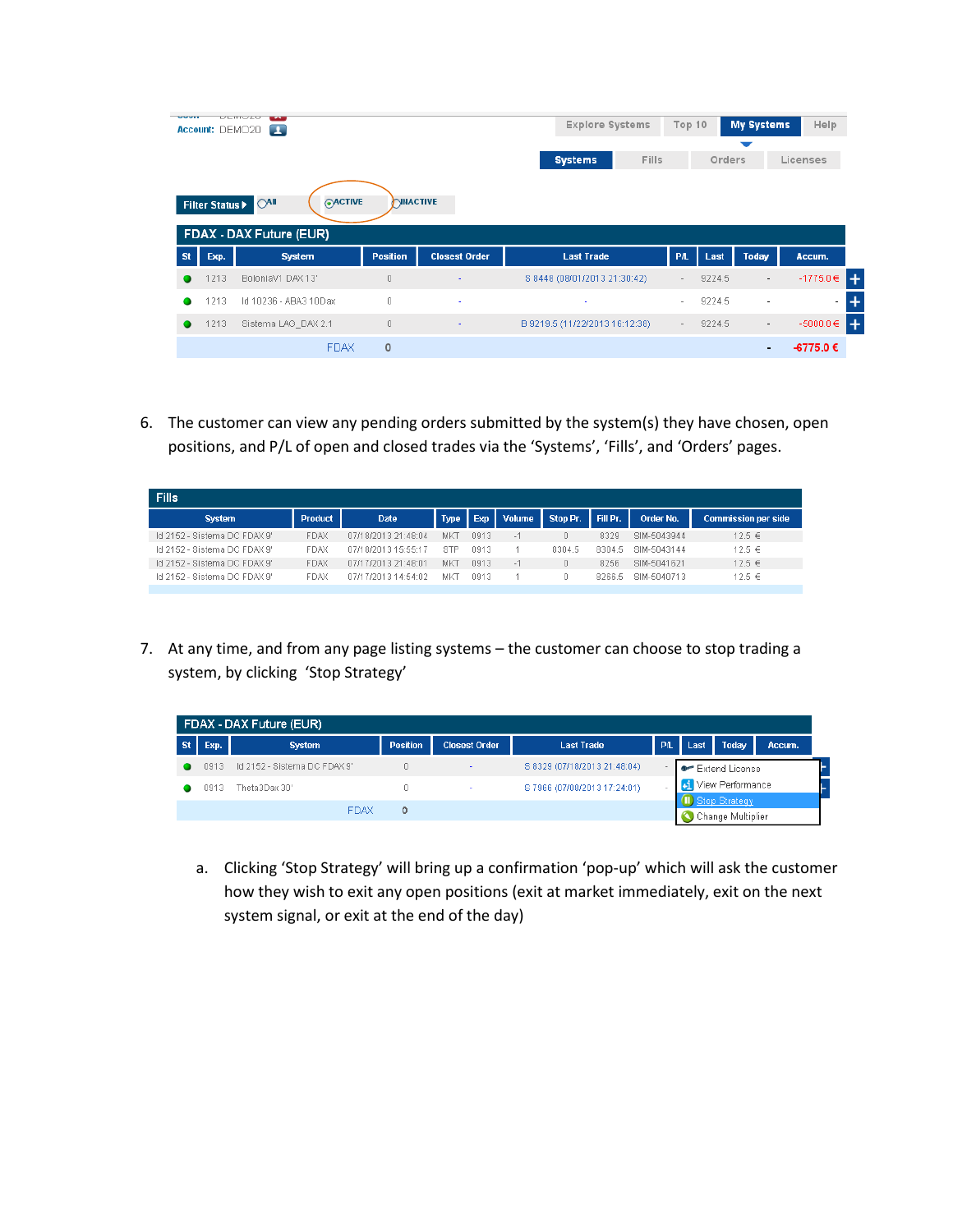| <b>OUVER</b> | Account: DEMO20 | ULITUZU<br>$\sim$<br>$\mathbf{L}$ |                 |                          | <b>Explore Systems</b>         | Top 10     |        | <b>My Systems</b>        | Help          |
|--------------|-----------------|-----------------------------------|-----------------|--------------------------|--------------------------------|------------|--------|--------------------------|---------------|
|              |                 |                                   |                 |                          | <b>Fills</b><br><b>Systems</b> |            | Orders |                          | Licenses      |
|              | Filter Status > | <b>OACTIVE</b><br>$O$ All         | <b>NNACTIVE</b> |                          |                                |            |        |                          |               |
|              |                 | FDAX - DAX Future (EUR)           |                 |                          |                                |            |        |                          |               |
| <b>St</b>    | Exp.            | <b>System</b>                     | <b>Position</b> | <b>Closest Order</b>     | <b>Last Trade</b>              | <b>PIL</b> | Last   | <b>Today</b>             | Accum.        |
|              | 1213            | BoloniaV1 DAX 13'                 | 0               | ٠                        | S 8448 (08/01/2013 21:30:42)   | $\sim$     | 9224.5 | $\overline{\phantom{a}}$ | $-1775.0 \in$ |
|              | 1213            | Id 10236 - ABA3 10Dax             | 0               | $\overline{\phantom{a}}$ | ٠                              | $\sim$     | 9224.5 | $\overline{\phantom{a}}$ | $\sim$        |
|              | 1213            | Sistema LAG_DAX 2.1               | 0               | $\overline{\phantom{a}}$ | B 9219.5 (11/22/2013 16:12:38) | $\sim$     | 9224.5 | $\overline{\phantom{a}}$ | $-5000.0 \in$ |

6. The customer can view any pending orders submitted by the system(s) they have chosen, open positions, and P/L of open and closed trades via the 'Systems', 'Fills', and 'Orders' pages.

| <b>Fills</b>                 |             |                     |            |       |               |                   |        |             |                            |  |  |  |
|------------------------------|-------------|---------------------|------------|-------|---------------|-------------------|--------|-------------|----------------------------|--|--|--|
| <b>System</b>                | Product     | Date <sup>1</sup>   | Type       | l Exp | <b>Volume</b> | Stop Pr. Fill Pr. |        | Order No.   | <b>Commission per side</b> |  |  |  |
| Id 2152 - Sistema DC FDAX 9' | FDAX        | 07/18/2013 21:48:04 | MKT        | n913  |               |                   | 8329   | SIM-5043944 | $12.5 \in$                 |  |  |  |
| Id 2152 - Sistema DC FDAX 9" | <b>FDAX</b> | 07/18/2013 15:55:17 | <b>STP</b> | 0913  |               | 8304.5            | 8304.5 | SIM-5043144 | $12.5 \in$                 |  |  |  |
| Id 2152 - Sistema DC FDAX 9' | FDAX        | 07/17/2013 21:48:01 | MKT        | n913  |               |                   | 8256   | SIM-5041621 | $12.5 \in$                 |  |  |  |
| Id 2152 - Sistema DC FDAX 9' | <b>FDAX</b> | 07/17/2013 14:54:02 | МK         | 0913  |               |                   | 8266.5 | SIM-5040713 | $12.5 \in$                 |  |  |  |

7. At any time, and from any page listing systems – the customer can choose to stop trading a system, by clicking 'Stop Strategy'

|           |       | FDAX - DAX Future (EUR)      |                 |                      |                              |           |       |                                         |        |
|-----------|-------|------------------------------|-----------------|----------------------|------------------------------|-----------|-------|-----------------------------------------|--------|
| <b>St</b> | Exp.  | <b>System</b>                | <b>Position</b> | <b>Closest Order</b> | <b>Last Trade</b>            | <b>PA</b> | Last. | Today                                   | Accum. |
|           | 0913. | Id 2152 - Sistema DC FDAX 9' | 0               | $\sim$               | S 8329 (07/18/2013 21:48:04) |           |       | <b>C</b> Extend License                 |        |
|           | 0913. | Theta3Dax 30'                |                 |                      | \$7966 (07/08/2013 17:24:01) |           |       | <b>51</b> View Performance              |        |
|           |       | <b>FDAX</b>                  | ٥               |                      |                              |           |       | (II) Stop Strategy<br>Change Multiplier |        |

a. Clicking 'Stop Strategy' will bring up a confirmation 'pop-up' which will ask the customer how they wish to exit any open positions (exit at market immediately, exit on the next system signal, or exit at the end of the day)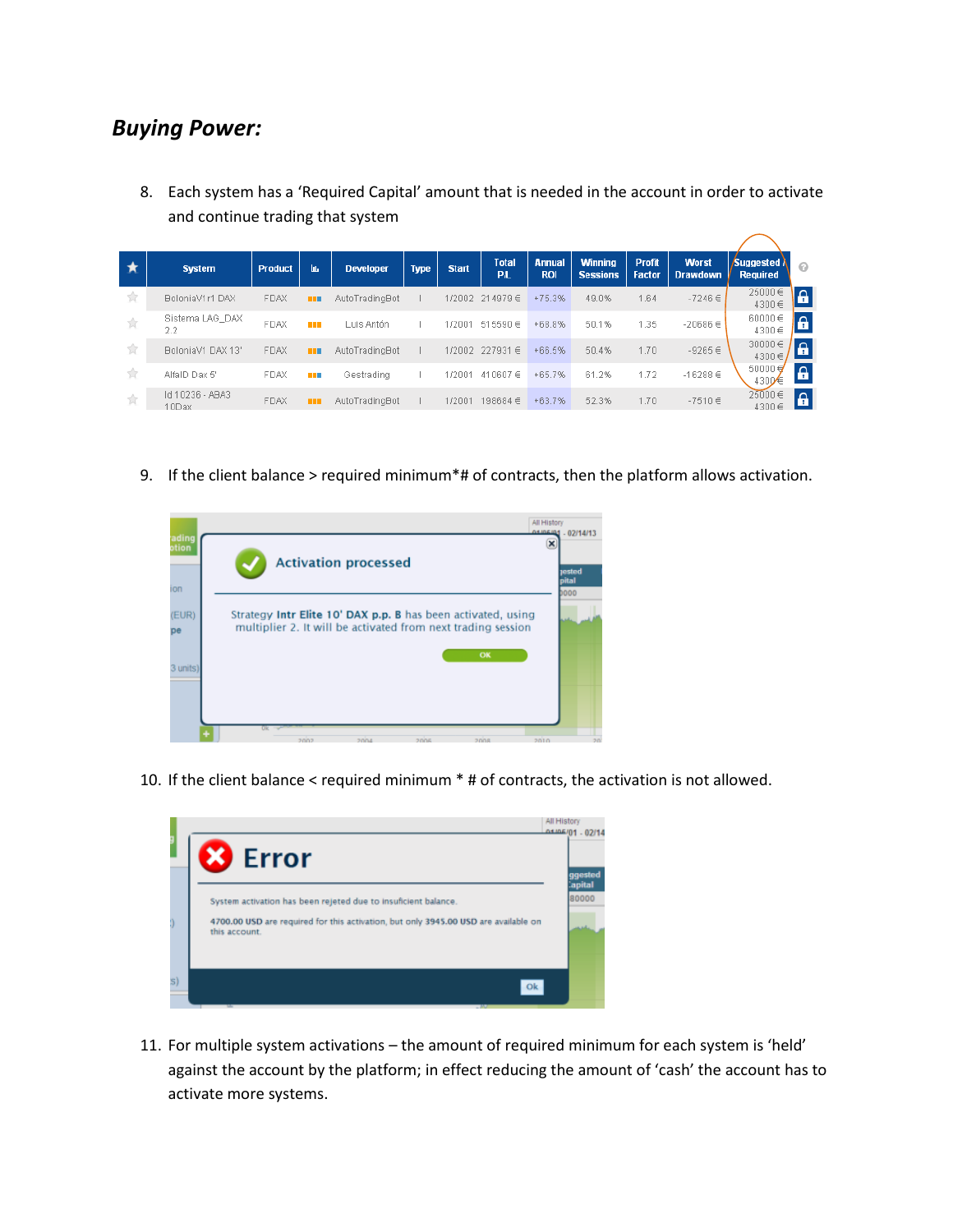### *Buying Power:*

8. Each system has a 'Required Capital' amount that is needed in the account in order to activate and continue trading that system

|                  | <b>System</b>            | <b>Product</b> | hь.         | <b>Developer</b> | <b>Type</b> | <b>Start</b> | <b>Total</b><br><b>PA</b> | <b>Annual</b><br><b>ROI</b> | <b>Winning</b><br><b>Sessions</b> | <b>Profit</b><br><b>Factor</b> | <b>Worst</b><br><b>Drawdown</b> | Suggested N<br><b>Required</b> | ຨ                  |
|------------------|--------------------------|----------------|-------------|------------------|-------------|--------------|---------------------------|-----------------------------|-----------------------------------|--------------------------------|---------------------------------|--------------------------------|--------------------|
| 食                | BoloniaV1r1 DAX          | <b>FDAX</b>    | <b>THE</b>  | AutoTradingBot   |             | 1/2002       | $214979 \in$              | $+75.3%$                    | 49.0%                             | 1.64                           | $-7246 \in$                     | 25000€<br>4300€                | $\mathbf{a}$       |
| 食                | Sistema LAG DAX<br>2.2   | <b>FDAX</b>    | m           | Luis Antón       |             | 1/2001       | $515590 \in$              | $+68.8%$                    | 50.1%                             | 1.35                           | $-20686 \in$                    | 60000€<br>4300€                | $\mathbf{a}$       |
| 食                | BoloniaV1 DAX 13'        | <b>FDAX</b>    | <b>HELL</b> | AutoTradingBot   |             | 1/2002       | $227931 \in$              | $+66.5%$                    | 50.4%                             | 1.70                           | $-9265 \in$                     | $30000 \in$<br>4300€           | $\Delta$<br>ш      |
| $\sum_{i=1}^{n}$ | AlfalD Dax 5'            | FDAX           | n n         | Gestrading       |             | 1/2001       | 410607€                   | $+65.7%$                    | 61.2%                             | 1.72                           | $-16288 \in$                    | $50000 \in$<br>4300 €          | $\mathbf{a}$       |
| ☆                | Id 10236 - ABA3<br>10Dax | <b>FDAX</b>    | m           | AutoTradingBot   |             | 1/2001       | 198684€                   | $+63.7%$                    | 52.3%                             | 1.70                           | $-7510 \in$                     | 25000€<br>4300€                | $\pmb{\mathsf{a}}$ |

9. If the client balance > required minimum\*# of contracts, then the platform allows activation.



10. If the client balance < required minimum \* # of contracts, the activation is not allowed.



11. For multiple system activations – the amount of required minimum for each system is 'held' against the account by the platform; in effect reducing the amount of 'cash' the account has to activate more systems.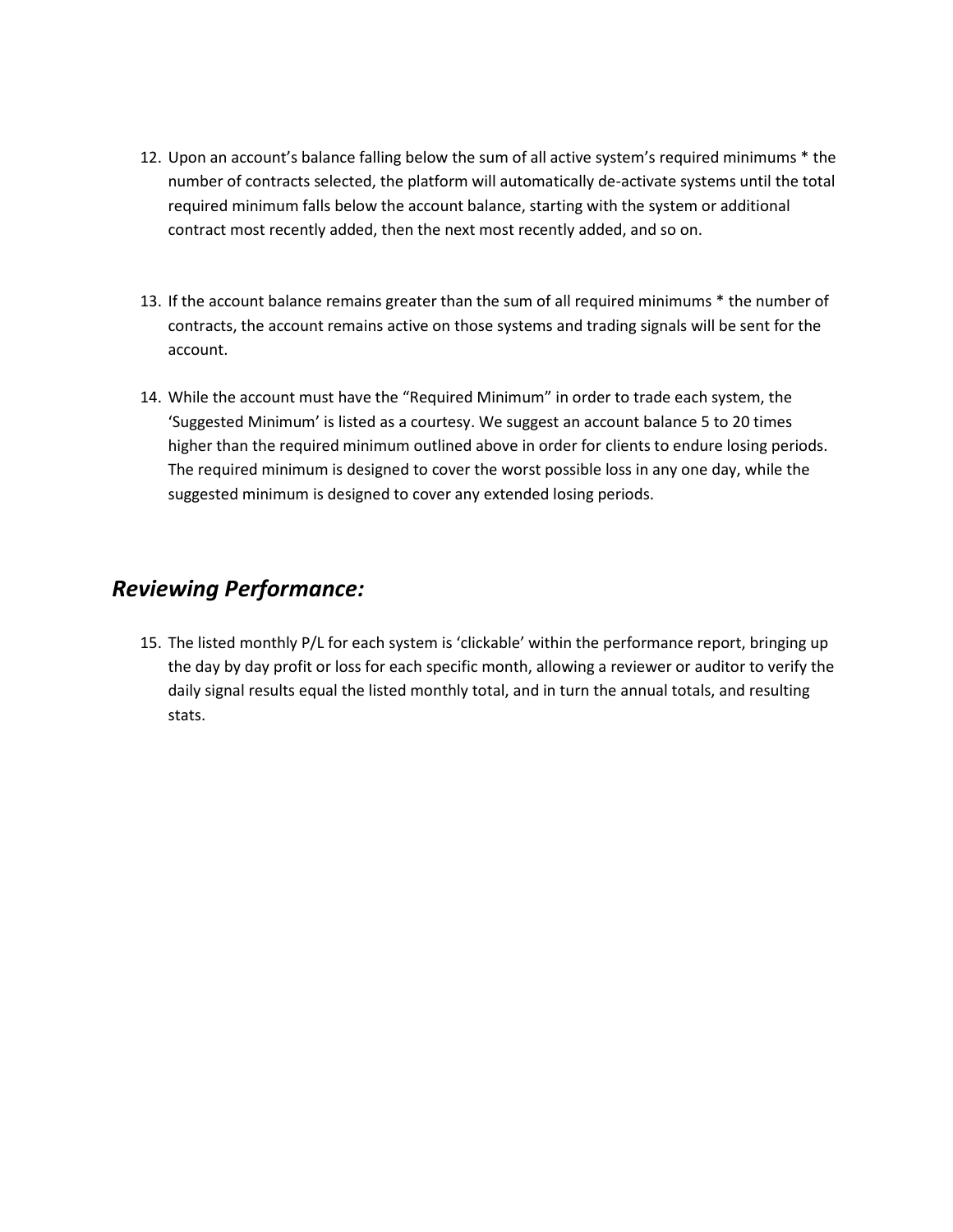- 12. Upon an account's balance falling below the sum of all active system's required minimums \* the number of contracts selected, the platform will automatically de-activate systems until the total required minimum falls below the account balance, starting with the system or additional contract most recently added, then the next most recently added, and so on.
- 13. If the account balance remains greater than the sum of all required minimums \* the number of contracts, the account remains active on those systems and trading signals will be sent for the account.
- 14. While the account must have the "Required Minimum" in order to trade each system, the 'Suggested Minimum' is listed as a courtesy. We suggest an account balance 5 to 20 times higher than the required minimum outlined above in order for clients to endure losing periods. The required minimum is designed to cover the worst possible loss in any one day, while the suggested minimum is designed to cover any extended losing periods.

## *Reviewing Performance:*

15. The listed monthly P/L for each system is 'clickable' within the performance report, bringing up the day by day profit or loss for each specific month, allowing a reviewer or auditor to verify the daily signal results equal the listed monthly total, and in turn the annual totals, and resulting stats.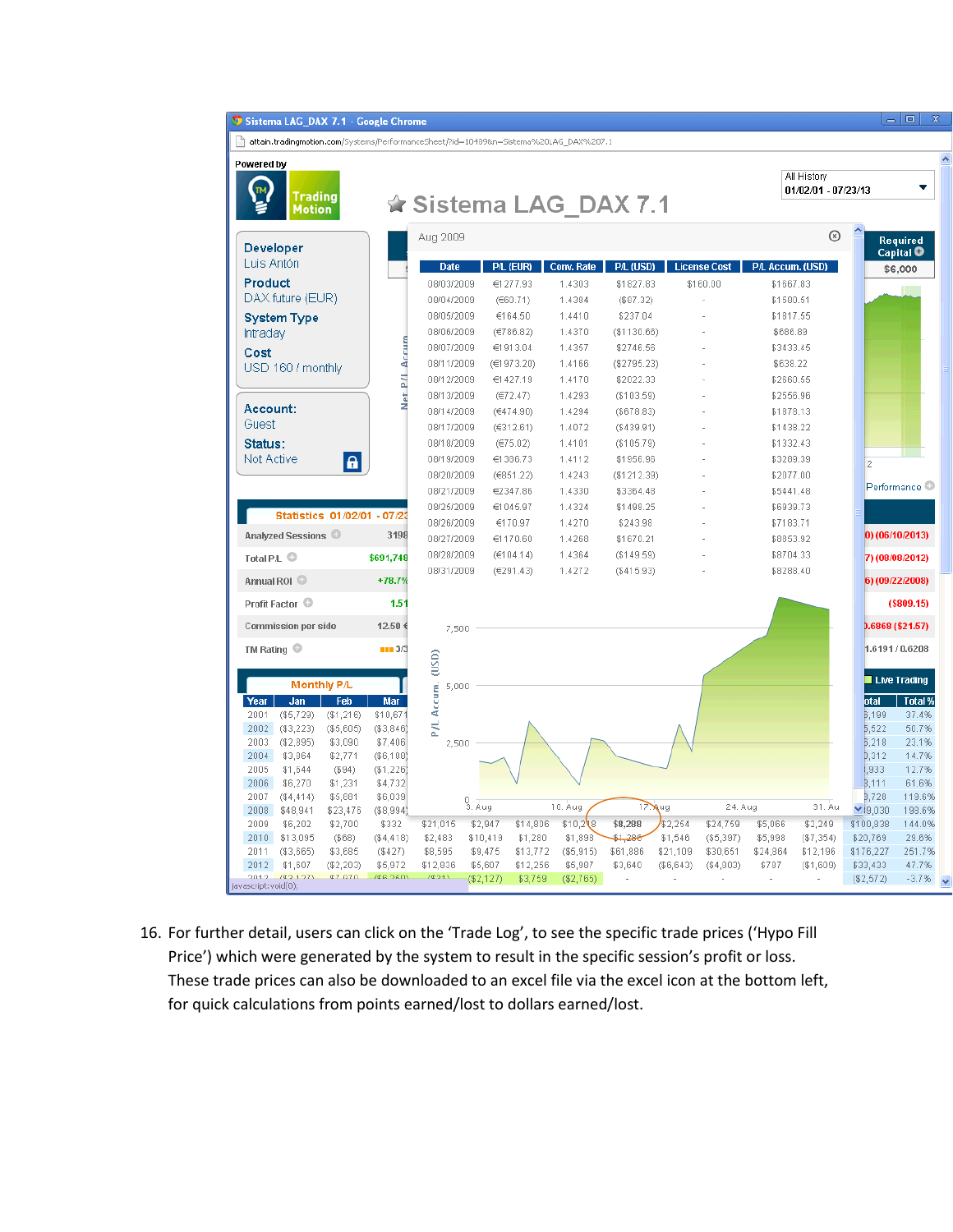| Sistema LAG_DAX 7.1 - Google Chro |  |  |
|-----------------------------------|--|--|
|                                   |  |  |
|                                   |  |  |

no



 $\overline{\phantom{a}}$   $\overline{\phantom{a}}$ 

16. For further detail, users can click on the 'Trade Log', to see the specific trade prices ('Hypo Fill Price') which were generated by the system to result in the specific session's profit or loss. These trade prices can also be downloaded to an excel file via the excel icon at the bottom left, for quick calculations from points earned/lost to dollars earned/lost.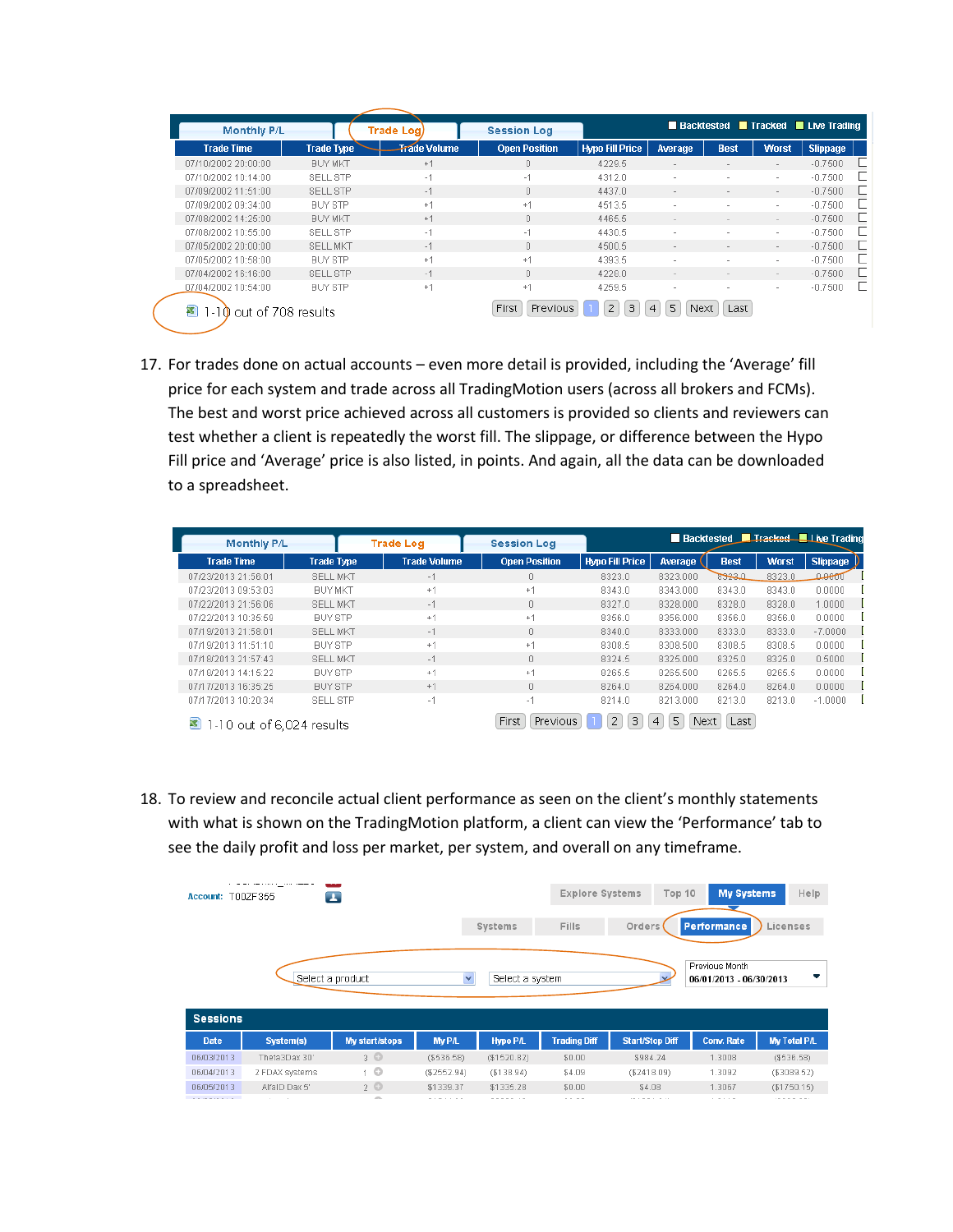| <b>Monthly P/L</b>  |                   | <b>Trade Log</b>    | <b>Session Log</b>   |                        |                          |                          |                          | ■ Backtested ■ Tracked ■ Live Trading |
|---------------------|-------------------|---------------------|----------------------|------------------------|--------------------------|--------------------------|--------------------------|---------------------------------------|
| <b>Trade Time</b>   | <b>Trade Type</b> | <b>Trade Volume</b> | <b>Open Position</b> | <b>Hypo Fill Price</b> | Average                  | <b>Best</b>              | <b>Worst</b>             | <b>Slippage</b>                       |
| 07/10/2002 20:00:00 | <b>BUY MKT</b>    | $+1$                | $\Box$               | 4229.5                 | $\sim$                   | $\overline{\phantom{a}}$ | $\sim$                   | $-0.7500$                             |
| 07/10/2002 10:14:00 | SELL STP          | $-1$                | $-1$                 | 4312.0                 | $\overline{\phantom{a}}$ | $\overline{\phantom{a}}$ | $\sim$                   | $-0.7500$                             |
| 07/09/2002 11:51:00 | SELL STP          | $-1$                | $\cap$               | 4437.0                 | $\overline{a}$           | $\sim$                   | $\sim$                   | $-0.7500$                             |
| 07/09/2002 09:34:00 | <b>BUY STP</b>    | $+1$                | $+1$                 | 4513.5                 |                          |                          | ۰.                       | $-0.7500$                             |
| 07/08/2002 14:25:00 | <b>BUY MKT</b>    | $+1$                | $\Box$               | 4465.5                 | $\,$ $\,$                | $\sim$                   | $\sim$                   | $-0.7500$                             |
| 07/08/2002 10:55:00 | SELL STP          | $-1$                | $-1$                 | 4430.5                 |                          |                          | ۰.                       | $-0.7500$                             |
| 07/05/2002 20:00:00 | <b>SELL MKT</b>   | $-1$                | $\Box$               | 4500.5                 | $\,$ $\,$                | $\,$ $\,$                | $\sim$                   | $-0.7500$                             |
| 07/05/2002 10:58:00 | <b>BUY STP</b>    | $+1$                | $+1$                 | 4393.5                 |                          | $\overline{\phantom{a}}$ | ۰.                       | $-0.7500$                             |
| 07/04/2002 16:16:00 | SELL STP          | $-1$                | $\Box$               | 4228.0                 |                          | $\sim$                   | $\sim$                   | $-0.7500$                             |
| 07/04/2002 10:54:00 | <b>BUY STP</b>    | $+1$                | $+1$                 | 4259.5                 |                          | $\overline{a}$           | $\overline{\phantom{a}}$ | $-0.7500$                             |

17. For trades done on actual accounts – even more detail is provided, including the 'Average' fill price for each system and trade across all TradingMotion users (across all brokers and FCMs). The best and worst price achieved across all customers is provided so clients and reviewers can test whether a client is repeatedly the worst fill. The slippage, or difference between the Hypo Fill price and 'Average' price is also listed, in points. And again, all the data can be downloaded to a spreadsheet.

| <b>Monthly P/L</b>             |                   | <b>Trade Log</b>    | <b>Session Log</b>   |                        | <b>Backtested</b> |               |              | $\blacksquare$ Tracked $\blacksquare$ I ive Trading |
|--------------------------------|-------------------|---------------------|----------------------|------------------------|-------------------|---------------|--------------|-----------------------------------------------------|
| <b>Trade Time</b>              | <b>Trade Type</b> | <b>Trade Volume</b> | <b>Open Position</b> | <b>Hypo Fill Price</b> | Average           | <b>Best</b>   | <b>Worst</b> | <b>Slippage</b>                                     |
| 07/23/2013 21:56:01            | <b>SELL MKT</b>   | $-1$                | O                    | 8323.0                 | 8323.000          | <u>833370</u> | 8323.0       | ൧൙൵                                                 |
| 07/23/2013 09:53:03            | <b>BUY MKT</b>    | $+1$                | $+1$                 | 8343.0                 | 8343.000          | 8343.0        | 8343.0       | 0.0000                                              |
| 07/22/2013 21:56:06            | <b>SELL MKT</b>   | $-1$                | 0                    | 8327.0                 | 8328.000          | 8328.0        | 8328.0       | 1.0000                                              |
| 07/22/2013 10:35:59            | <b>BUY STP</b>    | $+1$                | $+1$                 | 8356.0                 | 8356.000          | 8356.0        | 8356.0       | 0.0000                                              |
| 07/19/2013 21:58:01            | <b>SELL MKT</b>   | $-1$                | 0                    | 8340.0                 | 8333.000          | 8333.0        | 8333.0       | $-7.0000$                                           |
| 07/19/2013 11:51:10            | <b>BUY STP</b>    | $+1$                | $+1$                 | 8308.5                 | 8308.500          | 8308.5        | 8308.5       | 0.0000                                              |
| 07/18/2013 21:57:43            | <b>SELL MKT</b>   | $-1$                | 0                    | 8324.5                 | 8325.000          | 8325.0        | 8325.0       | 0.5000                                              |
| 07/18/2013 14:15:22            | <b>BUY STP</b>    | $+1$                | $+1$                 | 8265.5                 | 8265.500          | 8265.5        | 8265.5       | 0.0000                                              |
| 07/17/2013 16:35:25            | <b>BUY STP</b>    | $+1$                | 0                    | 8264.0                 | 8264.000          | 8264.0        | 8264.0       | 0.0000                                              |
| 07/17/2013 10:20:34            | SELL STP          | $-1$                | $-1$                 | 8214.0                 | 8213.000          | 8213.0        | 8213.0       | $-1.0000$                                           |
| 1-10 out of 6,024 results<br>弩 |                   |                     | Previous<br>First    | 2<br>3                 | 5<br>Next<br>4    | Last          |              |                                                     |

18. To review and reconcile actual client performance as seen on the client's monthly statements with what is shown on the TradingMotion platform, a client can view the 'Performance' tab to see the daily profit and loss per market, per system, and overall on any timeframe.

| <b>Account:</b>                | T00ZF355                                                                        | $\blacksquare$        |               |                 | <b>Explore Systems</b> | Top 10                 | <b>My Systems</b>                         | Help                |
|--------------------------------|---------------------------------------------------------------------------------|-----------------------|---------------|-----------------|------------------------|------------------------|-------------------------------------------|---------------------|
|                                |                                                                                 |                       |               | Systems         | Fills                  | Orders                 | Performance                               | Licenses            |
|                                |                                                                                 | Select a product      | ×             | Select a system |                        |                        | Previous Month<br>06/01/2013 - 06/30/2013 | ▼                   |
| <b>Sessions</b><br><b>Date</b> | System(s)                                                                       | <b>My start/stops</b> | <b>My P/L</b> | <b>Hypo P/L</b> | <b>Trading Diff</b>    | <b>Start/Stop Diff</b> | <b>Conv. Rate</b>                         | <b>My Total P/L</b> |
| 06/03/2013                     | Theta3Dax 30'                                                                   | $3^\circ$             | (\$536.58)    | (\$1520.82)     | \$0.00                 | \$984.24               | 1.3008                                    | (\$536.58)          |
| 06/04/2013                     | 2 FDAX systems                                                                  | 1 <sup>°</sup>        | $(\$2552.94)$ | (\$138.94)      | \$4.09                 | (\$2418.09)            | 1.3092                                    | (\$3089.52)         |
| 06/05/2013                     | AlfaID Dax 5'                                                                   | $2^{\circ}$           | \$1339.37     | \$1335.28       | \$0.00                 | \$4.08                 | 1.3067                                    | (\$1750.15)         |
| ----------                     | the contract of the contract of the contract of the contract of the contract of | <b>All Congress</b>   | -------       |                 | $\cdots$               | .                      | .                                         |                     |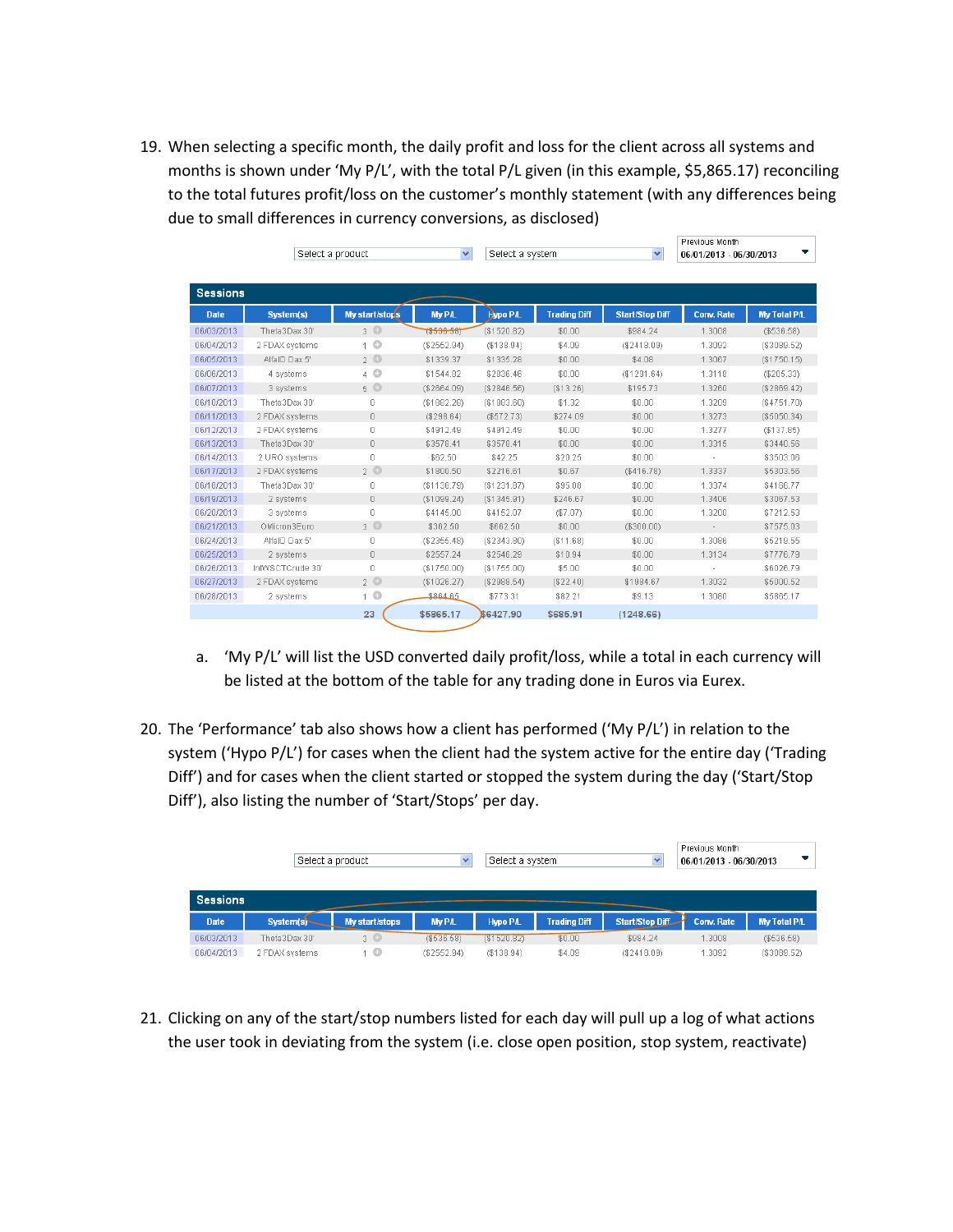19. When selecting a specific month, the daily profit and loss for the client across all systems and months is shown under 'My P/L', with the total P/L given (in this example, \$5,865.17) reconciling to the total futures profit/loss on the customer's monthly statement (with any differences being due to small differences in currency conversions, as disclosed)

|                 | Select a product |                | $\checkmark$  | Select a system |                     | $\checkmark$           | Previous Month<br>06/01/2013 06/30/2013 | ▼                   |
|-----------------|------------------|----------------|---------------|-----------------|---------------------|------------------------|-----------------------------------------|---------------------|
| <b>Sessions</b> |                  |                |               |                 |                     |                        |                                         |                     |
| <b>Date</b>     | System(s)        | My start/stops | <b>My P/L</b> | Hypo P/L        | <b>Trading Diff</b> | <b>Start/Stop Diff</b> | <b>Conv. Rate</b>                       | <b>My Total P/L</b> |
| 06/03/2013      | Theta3Dax 30'    | $3^\circ$      | $*($536.58)$  | (\$1520.82)     | \$0.00              | \$984.24               | 1.3008                                  | (\$536.58)          |
| 06/04/2013      | 2 FDAX systems   | 1 <sup>°</sup> | (\$2552.94)   | (\$138.94)      | \$4.09              | (\$2418.09)            | 1.3092                                  | (\$3089.52)         |
| 06/05/2013      | AlfaID Dax 5'    | $2^{\circ}$    | \$1339.37     | \$1335.28       | \$0.00              | \$4.08                 | 1.3067                                  | (\$1750.15)         |
| 06/06/2013      | 4 systems        | $4$ $\circ$    | \$1544.82     | \$2836.46       | \$0.00              | (S1291.64)             | 1.3118                                  | $(\$205.33)$        |
| 06/07/2013      | 3 systems        | $5^\circ$      | (\$2664.09)   | (\$2846.56)     | (\$13.26)           | \$195.73               | 1.3260                                  | (\$2869.42)         |
| 06/10/2013      | Theta3Dax 30'    | 0              | (\$1882.28)   | (\$1883.60)     | \$1.32              | \$0.00                 | 1.3209                                  | (\$4751.70)         |
| 06/11/2013      | 2 FDAX systems   | 0              | (\$298.64)    | (\$572.73)      | \$274.09            | \$0.00                 | 1.3273                                  | (\$5050.34)         |
| 06/12/2013      | 2 FDAX systems   | 0              | \$4912.49     | \$4912.49       | \$0.00              | \$0.00                 | 1.3277                                  | (\$137.85)          |
| 06/13/2013      | Theta3Dax 30'    | 0              | \$3578.41     | \$3578.41       | \$0.00              | \$0.00                 | 1.3315                                  | \$3440.56           |
| 06/14/2013      | 2 URO systems    | 0              | \$62.50       | \$42.25         | \$20.25             | \$0.00                 |                                         | \$3503.06           |
| 06/17/2013      | 2 FDAX systems   | $2^{\circ}$    | \$1800.50     | \$2216.61       | \$0.67              | (\$416.78)             | 1.3337                                  | \$5303.56           |
| 06/18/2013      | Theta3Dax 30'    | 0              | (\$1136.79)   | (\$1231.87)     | \$95.08             | \$0.00                 | 1.3374                                  | \$4166.77           |
| 06/19/2013      | 2 systems        | 0              | (\$1099.24)   | (\$1345.91)     | \$246.67            | \$0.00                 | 1.3406                                  | \$3067.53           |
| 06/20/2013      | 3 systems        | 0              | \$4145.00     | \$4152.07       | (\$7.07)            | \$0.00                 | 1.3200                                  | \$7212.53           |
| 06/21/2013      | OMicron3Euro     | $3^\circ$      | \$362.50      | \$662.50        | \$0.00              | (\$300.00)             | $\sim$                                  | \$7575.03           |
| 06/24/2013      | AlfaID Dax 5'    | 0              | $(\$2355.48)$ | (\$2343.80)     | (\$11.68)           | \$0.00                 | 1.3086                                  | \$5219.55           |
| 06/25/2013      | 2 systems        | 0              | \$2557.24     | \$2546.29       | \$10.94             | \$0.00                 | 1.3134                                  | \$7776.79           |
| 06/26/2013      | IntWSCTCrude 30' | 0              | ( \$1750.00)  | (\$1755.00)     | \$5.00              | \$0.00                 | ×,                                      | \$6026.79           |
| 06/27/2013      | 2 FDAX systems   | $2^{\circ}$    | (\$1026.27)   | (\$2988.54)     | (\$22.40)           | \$1984.67              | 1.3032                                  | \$5000.52           |
| 06/28/2013      | 2 systems        | 1 <sup>°</sup> | \$864.65      | \$773.31        | \$82.21             | \$9.13                 | 1.3080                                  | \$5865.17           |
|                 |                  | 23             | \$5865.17     | \$6427.90       | \$685.91            | (1248.66)              |                                         |                     |

- a. 'My P/L' will list the USD converted daily profit/loss, while a total in each currency will be listed at the bottom of the table for any trading done in Euros via Eurex.
- 20. The 'Performance' tab also shows how a client has performed ('My P/L') in relation to the system ('Hypo P/L') for cases when the client had the system active for the entire day ('Trading Diff') and for cases when the client started or stopped the system during the day ('Start/Stop Diff'), also listing the number of 'Start/Stops' per day.

|                 | Select a product |                |               | Select a system |                     | $\checkmark$           | Previous Month<br>06/01/2013 06/30/2013 |                     |
|-----------------|------------------|----------------|---------------|-----------------|---------------------|------------------------|-----------------------------------------|---------------------|
| <b>Sessions</b> |                  |                |               |                 |                     |                        |                                         |                     |
| <b>Date</b>     | System(s)-       | My start/stops | <b>Mv P/L</b> | Hypo P/L        | <b>Trading Diff</b> | <b>Start/Stop Diff</b> | <b>Conv. Rate</b>                       | <b>My Total P/L</b> |
| 06/03/2013      | Theta3Dax 30"    | $3^\circ$      | ( \$536.58)   | (151520.82)     | \$0.00              | \$984.24               | 1.3008                                  | (\$536.58)          |
| 06/04/2013      | 2 FDAX systems   | 10             | (\$2552.94)   | (\$138.94)      | \$4.09              | (\$2418.09)            | 1.3092                                  | (\$3089.52)         |

21. Clicking on any of the start/stop numbers listed for each day will pull up a log of what actions the user took in deviating from the system (i.e. close open position, stop system, reactivate)